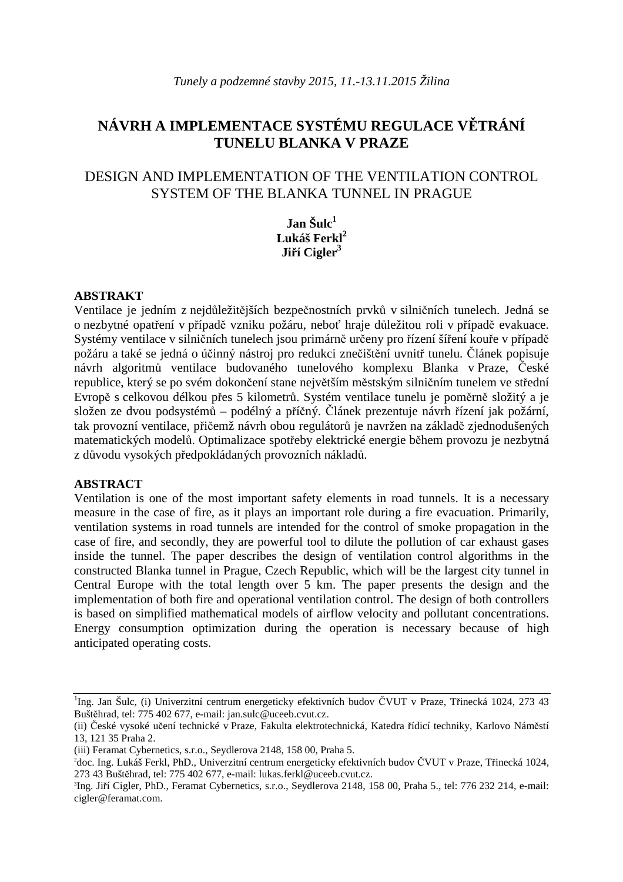# **NÁVRH A IMPLEMENTACE SYSTÉMU REGULACE V**Ě**TRÁNÍ TUNELU BLANKA V PRAZE**

## DESIGN AND IMPLEMENTATION OF THE VENTILATION CONTROL SYSTEM OF THE BLANKA TUNNEL IN PRAGUE

**Jan Šulc<sup>1</sup> Lukáš Ferkl<sup>2</sup> Ji**ř**í Cigler<sup>3</sup>**

### **ABSTRAKT**

Ventilace je jedním z nejdůležitějších bezpečnostních prvků v silničních tunelech. Jedná se o nezbytné opatření v případě vzniku požáru, neboť hraje důležitou roli v případě evakuace. Systémy ventilace v silničních tunelech jsou primárně určeny pro řízení šíření kouře v případě požáru a také se jedná o účinný nástroj pro redukci znečištění uvnitř tunelu. Článek popisuje návrh algoritmů ventilace budovaného tunelového komplexu Blanka v Praze, České republice, který se po svém dokončení stane největším městským silničním tunelem ve střední Evropě s celkovou délkou přes 5 kilometrů. Systém ventilace tunelu je poměrně složitý a je složen ze dvou podsystémů – podélný a příčný. Článek prezentuje návrh řízení jak požární, tak provozní ventilace, přičemž návrh obou regulátorů je navržen na základě zjednodušených matematických modelů. Optimalizace spotřeby elektrické energie během provozu je nezbytná z důvodu vysokých předpokládaných provozních nákladů.

#### **ABSTRACT**

Ventilation is one of the most important safety elements in road tunnels. It is a necessary measure in the case of fire, as it plays an important role during a fire evacuation. Primarily, ventilation systems in road tunnels are intended for the control of smoke propagation in the case of fire, and secondly, they are powerful tool to dilute the pollution of car exhaust gases inside the tunnel. The paper describes the design of ventilation control algorithms in the constructed Blanka tunnel in Prague, Czech Republic, which will be the largest city tunnel in Central Europe with the total length over 5 km. The paper presents the design and the implementation of both fire and operational ventilation control. The design of both controllers is based on simplified mathematical models of airflow velocity and pollutant concentrations. Energy consumption optimization during the operation is necessary because of high anticipated operating costs.

<sup>&</sup>lt;sup>1</sup>Ing. Jan Šulc, (i) Univerzitní centrum energeticky efektivních budov ČVUT v Praze, Třinecká 1024, 273 43 Buštěhrad, tel: 775 402 677, e-mail: jan.sulc@uceeb.cvut.cz.

<sup>(</sup>ii) České vysoké učení technické v Praze, Fakulta elektrotechnická, Katedra řídicí techniky, Karlovo Náměstí 13, 121 35 Praha 2.

<sup>(</sup>iii) Feramat Cybernetics, s.r.o., Seydlerova 2148, 158 00, Praha 5.

<sup>2</sup>doc. Ing. Lukáš Ferkl, PhD., Univerzitní centrum energeticky efektivních budov ČVUT v Praze, Třinecká 1024, 273 43 Buštěhrad, tel: 775 402 677, e-mail: lukas.ferkl@uceeb.cvut.cz.

<sup>3</sup> Ing. Jiří Cigler, PhD., Feramat Cybernetics, s.r.o., Seydlerova 2148, 158 00, Praha 5., tel: 776 232 214, e-mail: cigler@feramat.com.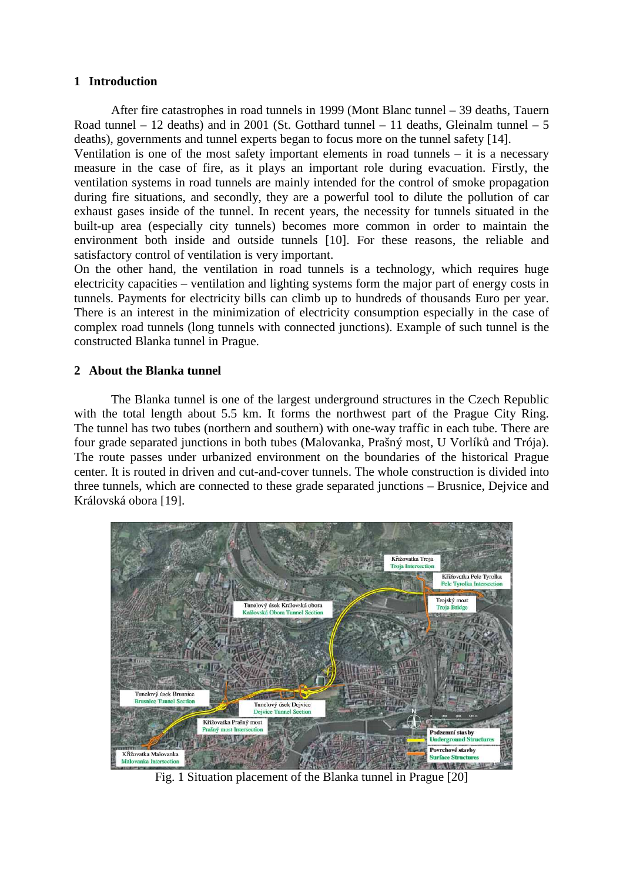### **1 Introduction**

After fire catastrophes in road tunnels in 1999 (Mont Blanc tunnel – 39 deaths, Tauern Road tunnel – 12 deaths) and in 2001 (St. Gotthard tunnel – 11 deaths, Gleinalm tunnel – 5 deaths), governments and tunnel experts began to focus more on the tunnel safety [14].

Ventilation is one of the most safety important elements in road tunnels – it is a necessary measure in the case of fire, as it plays an important role during evacuation. Firstly, the ventilation systems in road tunnels are mainly intended for the control of smoke propagation during fire situations, and secondly, they are a powerful tool to dilute the pollution of car exhaust gases inside of the tunnel. In recent years, the necessity for tunnels situated in the built-up area (especially city tunnels) becomes more common in order to maintain the environment both inside and outside tunnels [10]. For these reasons, the reliable and satisfactory control of ventilation is very important.

On the other hand, the ventilation in road tunnels is a technology, which requires huge electricity capacities – ventilation and lighting systems form the major part of energy costs in tunnels. Payments for electricity bills can climb up to hundreds of thousands Euro per year. There is an interest in the minimization of electricity consumption especially in the case of complex road tunnels (long tunnels with connected junctions). Example of such tunnel is the constructed Blanka tunnel in Prague.

### **2 About the Blanka tunnel**

The Blanka tunnel is one of the largest underground structures in the Czech Republic with the total length about 5.5 km. It forms the northwest part of the Prague City Ring. The tunnel has two tubes (northern and southern) with one-way traffic in each tube. There are four grade separated junctions in both tubes (Malovanka, Prašný most, U Vorlíků and Trója). The route passes under urbanized environment on the boundaries of the historical Prague center. It is routed in driven and cut-and-cover tunnels. The whole construction is divided into three tunnels, which are connected to these grade separated junctions – Brusnice, Dejvice and Královská obora [19].



Fig. 1 Situation placement of the Blanka tunnel in Prague [20]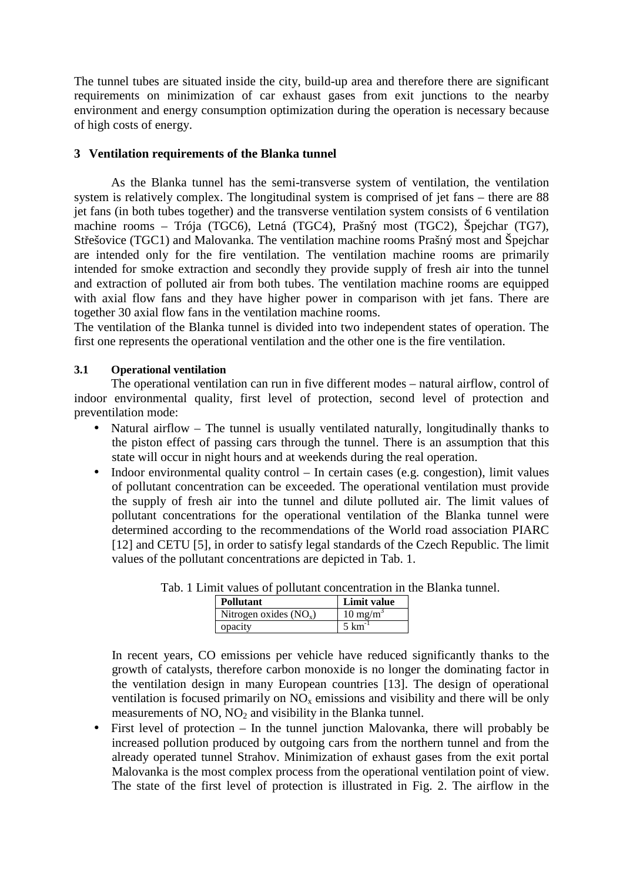The tunnel tubes are situated inside the city, build-up area and therefore there are significant requirements on minimization of car exhaust gases from exit junctions to the nearby environment and energy consumption optimization during the operation is necessary because of high costs of energy.

### **3 Ventilation requirements of the Blanka tunnel**

As the Blanka tunnel has the semi-transverse system of ventilation, the ventilation system is relatively complex. The longitudinal system is comprised of jet fans – there are 88 jet fans (in both tubes together) and the transverse ventilation system consists of 6 ventilation machine rooms – Trója (TGC6), Letná (TGC4), Prašný most (TGC2), Špejchar (TG7), Střešovice (TGC1) and Malovanka. The ventilation machine rooms Prašný most and Špejchar are intended only for the fire ventilation. The ventilation machine rooms are primarily intended for smoke extraction and secondly they provide supply of fresh air into the tunnel and extraction of polluted air from both tubes. The ventilation machine rooms are equipped with axial flow fans and they have higher power in comparison with jet fans. There are together 30 axial flow fans in the ventilation machine rooms.

The ventilation of the Blanka tunnel is divided into two independent states of operation. The first one represents the operational ventilation and the other one is the fire ventilation.

### **3.1 Operational ventilation**

The operational ventilation can run in five different modes – natural airflow, control of indoor environmental quality, first level of protection, second level of protection and preventilation mode:

- Natural airflow The tunnel is usually ventilated naturally, longitudinally thanks to the piston effect of passing cars through the tunnel. There is an assumption that this state will occur in night hours and at weekends during the real operation.
- Indoor environmental quality control In certain cases (e.g. congestion), limit values of pollutant concentration can be exceeded. The operational ventilation must provide the supply of fresh air into the tunnel and dilute polluted air. The limit values of pollutant concentrations for the operational ventilation of the Blanka tunnel were determined according to the recommendations of the World road association PIARC [12] and CETU [5], in order to satisfy legal standards of the Czech Republic. The limit values of the pollutant concentrations are depicted in Tab. 1.

| <b>Pollutant</b>         | Limit value         |
|--------------------------|---------------------|
| Nitrogen oxides $(NO_x)$ | $10 \text{ mg/m}^3$ |
| opacity                  | $5 \text{ km}$      |

Tab. 1 Limit values of pollutant concentration in the Blanka tunnel.

In recent years, CO emissions per vehicle have reduced significantly thanks to the growth of catalysts, therefore carbon monoxide is no longer the dominating factor in the ventilation design in many European countries [13]. The design of operational ventilation is focused primarily on  $NO<sub>x</sub>$  emissions and visibility and there will be only measurements of  $NO$ ,  $NO<sub>2</sub>$  and visibility in the Blanka tunnel.

• First level of protection – In the tunnel junction Malovanka, there will probably be increased pollution produced by outgoing cars from the northern tunnel and from the already operated tunnel Strahov. Minimization of exhaust gases from the exit portal Malovanka is the most complex process from the operational ventilation point of view. The state of the first level of protection is illustrated in Fig. 2. The airflow in the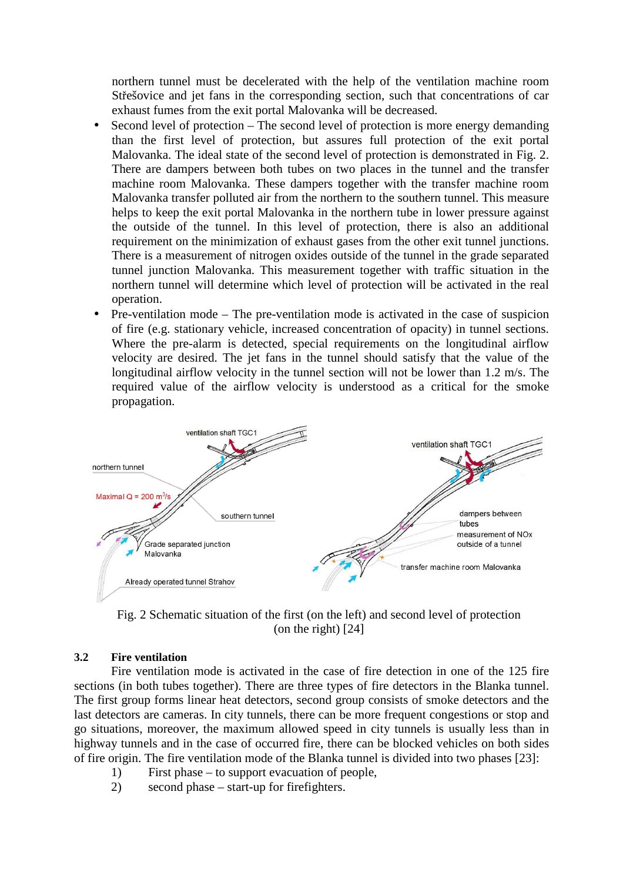northern tunnel must be decelerated with the help of the ventilation machine room Střešovice and jet fans in the corresponding section, such that concentrations of car exhaust fumes from the exit portal Malovanka will be decreased.

- Second level of protection The second level of protection is more energy demanding than the first level of protection, but assures full protection of the exit portal Malovanka. The ideal state of the second level of protection is demonstrated in Fig. 2. There are dampers between both tubes on two places in the tunnel and the transfer machine room Malovanka. These dampers together with the transfer machine room Malovanka transfer polluted air from the northern to the southern tunnel. This measure helps to keep the exit portal Malovanka in the northern tube in lower pressure against the outside of the tunnel. In this level of protection, there is also an additional requirement on the minimization of exhaust gases from the other exit tunnel junctions. There is a measurement of nitrogen oxides outside of the tunnel in the grade separated tunnel junction Malovanka. This measurement together with traffic situation in the northern tunnel will determine which level of protection will be activated in the real operation.
- Pre-ventilation mode The pre-ventilation mode is activated in the case of suspicion of fire (e.g. stationary vehicle, increased concentration of opacity) in tunnel sections. Where the pre-alarm is detected, special requirements on the longitudinal airflow velocity are desired. The jet fans in the tunnel should satisfy that the value of the longitudinal airflow velocity in the tunnel section will not be lower than 1.2 m/s. The required value of the airflow velocity is understood as a critical for the smoke propagation.



Fig. 2 Schematic situation of the first (on the left) and second level of protection (on the right) [24]

### **3.2 Fire ventilation**

Fire ventilation mode is activated in the case of fire detection in one of the 125 fire sections (in both tubes together). There are three types of fire detectors in the Blanka tunnel. The first group forms linear heat detectors, second group consists of smoke detectors and the last detectors are cameras. In city tunnels, there can be more frequent congestions or stop and go situations, moreover, the maximum allowed speed in city tunnels is usually less than in highway tunnels and in the case of occurred fire, there can be blocked vehicles on both sides of fire origin. The fire ventilation mode of the Blanka tunnel is divided into two phases [23]:

- 1) First phase to support evacuation of people,
- 2) second phase start-up for firefighters.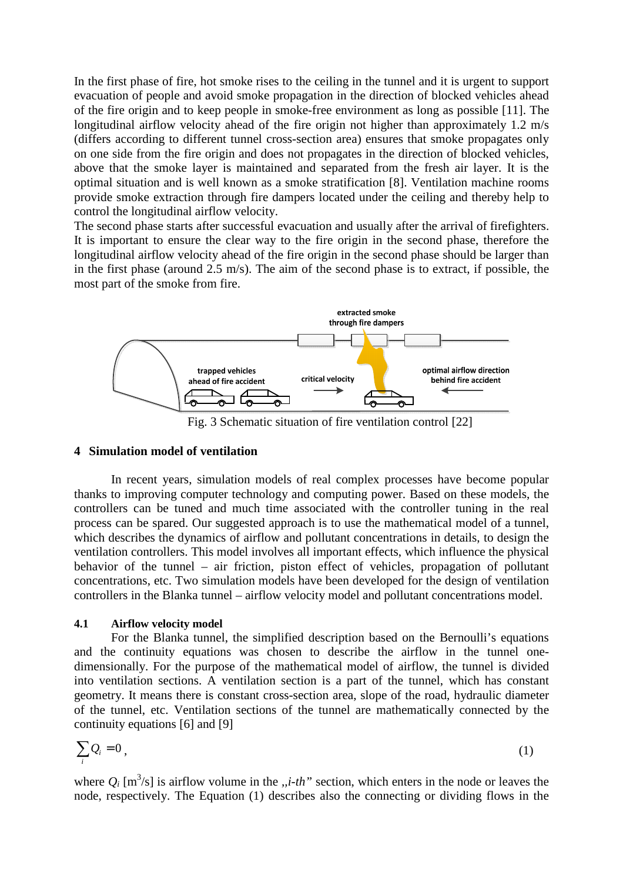In the first phase of fire, hot smoke rises to the ceiling in the tunnel and it is urgent to support evacuation of people and avoid smoke propagation in the direction of blocked vehicles ahead of the fire origin and to keep people in smoke-free environment as long as possible [11]. The longitudinal airflow velocity ahead of the fire origin not higher than approximately 1.2 m/s (differs according to different tunnel cross-section area) ensures that smoke propagates only on one side from the fire origin and does not propagates in the direction of blocked vehicles, above that the smoke layer is maintained and separated from the fresh air layer. It is the optimal situation and is well known as a smoke stratification [8]. Ventilation machine rooms provide smoke extraction through fire dampers located under the ceiling and thereby help to control the longitudinal airflow velocity.

The second phase starts after successful evacuation and usually after the arrival of firefighters. It is important to ensure the clear way to the fire origin in the second phase, therefore the longitudinal airflow velocity ahead of the fire origin in the second phase should be larger than in the first phase (around 2.5 m/s). The aim of the second phase is to extract, if possible, the most part of the smoke from fire.



Fig. 3 Schematic situation of fire ventilation control [22]

#### **4 Simulation model of ventilation**

In recent years, simulation models of real complex processes have become popular thanks to improving computer technology and computing power. Based on these models, the controllers can be tuned and much time associated with the controller tuning in the real process can be spared. Our suggested approach is to use the mathematical model of a tunnel, which describes the dynamics of airflow and pollutant concentrations in details, to design the ventilation controllers. This model involves all important effects, which influence the physical behavior of the tunnel – air friction, piston effect of vehicles, propagation of pollutant concentrations, etc. Two simulation models have been developed for the design of ventilation controllers in the Blanka tunnel – airflow velocity model and pollutant concentrations model.

#### **4.1 Airflow velocity model**

For the Blanka tunnel, the simplified description based on the Bernoulli's equations and the continuity equations was chosen to describe the airflow in the tunnel onedimensionally. For the purpose of the mathematical model of airflow, the tunnel is divided into ventilation sections. A ventilation section is a part of the tunnel, which has constant geometry. It means there is constant cross-section area, slope of the road, hydraulic diameter of the tunnel, etc. Ventilation sections of the tunnel are mathematically connected by the continuity equations [6] and [9]

$$
\sum_{i} Q_i = 0 \tag{1}
$$

where  $Q_i$  [m<sup>3</sup>/s] is airflow volume in the *,,i-th*" section, which enters in the node or leaves the node, respectively. The Equation (1) describes also the connecting or dividing flows in the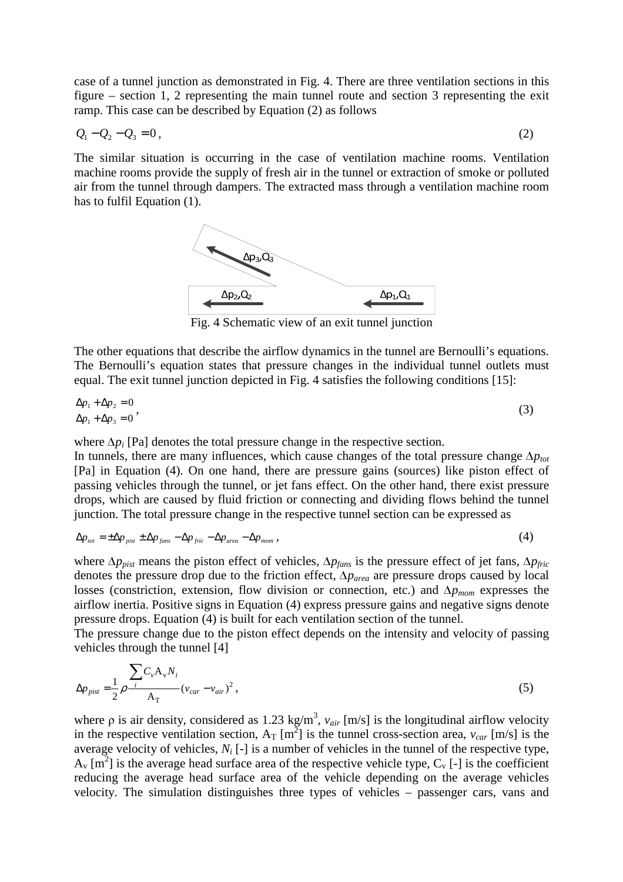case of a tunnel junction as demonstrated in Fig. 4. There are three ventilation sections in this figure – section 1, 2 representing the main tunnel route and section 3 representing the exit ramp. This case can be described by Equation (2) as follows

$$
Q_1 - Q_2 - Q_3 = 0, \t\t(2)
$$

The similar situation is occurring in the case of ventilation machine rooms. Ventilation machine rooms provide the supply of fresh air in the tunnel or extraction of smoke or polluted air from the tunnel through dampers. The extracted mass through a ventilation machine room has to fulfil Equation (1).



Fig. 4 Schematic view of an exit tunnel junction

The other equations that describe the airflow dynamics in the tunnel are Bernoulli's equations. The Bernoulli's equation states that pressure changes in the individual tunnel outlets must equal. The exit tunnel junction depicted in Fig. 4 satisfies the following conditions [15]:

$$
\Delta p_1 + \Delta p_2 = 0
$$
  
\n
$$
\Delta p_1 + \Delta p_3 = 0
$$
\n(3)

where Δ $p_i$  [Pa] denotes the total pressure change in the respective section.

In tunnels, there are many influences, which cause changes of the total pressure change ∆*ptot* [Pa] in Equation (4). On one hand, there are pressure gains (sources) like piston effect of passing vehicles through the tunnel, or jet fans effect. On the other hand, there exist pressure drops, which are caused by fluid friction or connecting and dividing flows behind the tunnel junction. The total pressure change in the respective tunnel section can be expressed as

$$
\Delta p_{\text{tot}} = \pm \Delta p_{\text{pist}} \pm \Delta p_{\text{fans}} - \Delta p_{\text{fric}} - \Delta p_{\text{area}} - \Delta p_{\text{mom}} \,, \tag{4}
$$

where ∆*ppist* means the piston effect of vehicles, ∆*pfans* is the pressure effect of jet fans, ∆*pfric* denotes the pressure drop due to the friction effect, ∆*parea* are pressure drops caused by local losses (constriction, extension, flow division or connection, etc.) and ∆*pmom* expresses the airflow inertia. Positive signs in Equation (4) express pressure gains and negative signs denote pressure drops. Equation (4) is built for each ventilation section of the tunnel.

The pressure change due to the piston effect depends on the intensity and velocity of passing vehicles through the tunnel [4]

$$
\Delta p_{\text{pist}} = \frac{1}{2} \rho \frac{\sum_{i} C_{v} A_{v} N_{i}}{A_{T}} (v_{\text{car}} - v_{\text{air}})^{2}, \qquad (5)
$$

where  $\rho$  is air density, considered as 1.23 kg/m<sup>3</sup>,  $v_{air}$  [m/s] is the longitudinal airflow velocity in the respective ventilation section,  $A_T [m^2]$  is the tunnel cross-section area,  $v_{car} [m/s]$  is the average velocity of vehicles,  $N_i$  [-] is a number of vehicles in the tunnel of the respective type,  $A_v$  [m<sup>2</sup>] is the average head surface area of the respective vehicle type,  $C_v$  [-] is the coefficient reducing the average head surface area of the vehicle depending on the average vehicles velocity. The simulation distinguishes three types of vehicles – passenger cars, vans and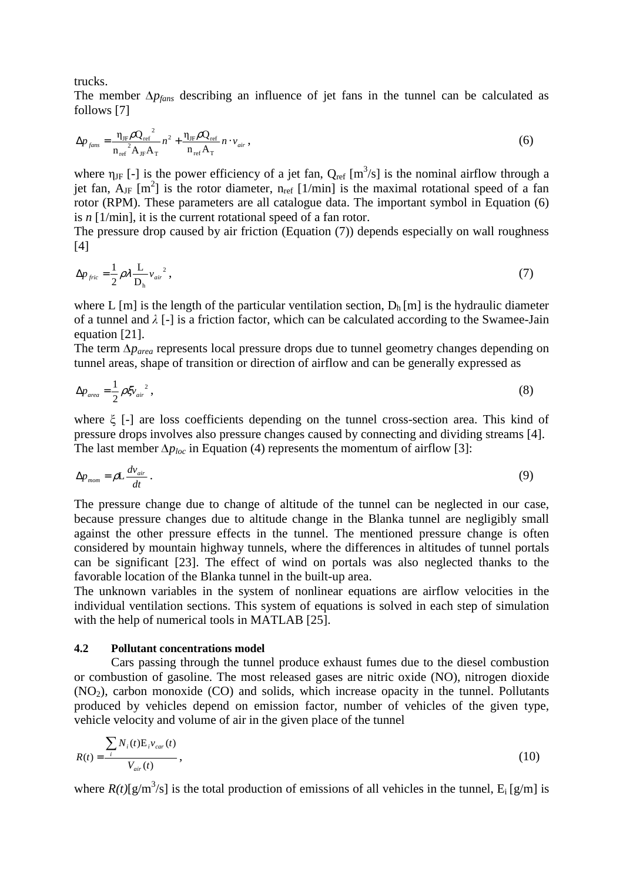trucks.

The member ∆*pfans* describing an influence of jet fans in the tunnel can be calculated as follows [7]

$$
\Delta p_{\text{fans}} = \frac{\eta_{\text{JF}} \rho Q_{\text{ref}}^2}{n_{\text{ref}}^2 A_{\text{JF}} A_{\text{T}}} n^2 + \frac{\eta_{\text{JF}} \rho Q_{\text{ref}}}{n_{\text{ref}} A_{\text{T}}} n \cdot v_{\text{air}} \,, \tag{6}
$$

where  $\eta_{JF}$  [-] is the power efficiency of a jet fan,  $Q_{ref}$  [m<sup>3</sup>/s] is the nominal airflow through a jet fan,  $A_{\text{JF}}$  [m<sup>2</sup>] is the rotor diameter, n<sub>ref</sub> [1/min] is the maximal rotational speed of a fan rotor (RPM). These parameters are all catalogue data. The important symbol in Equation (6) is *n* [1/min], it is the current rotational speed of a fan rotor.

The pressure drop caused by air friction (Equation (7)) depends especially on wall roughness [4]

$$
\Delta p_{\text{fric}} = \frac{1}{2} \rho \lambda \frac{L}{D_h} v_{\text{air}}^2 \,, \tag{7}
$$

where L [m] is the length of the particular ventilation section,  $D_h$  [m] is the hydraulic diameter of a tunnel and  $\lambda$  [-] is a friction factor, which can be calculated according to the Swamee-Jain equation [21].

The term ∆*parea* represents local pressure drops due to tunnel geometry changes depending on tunnel areas, shape of transition or direction of airflow and can be generally expressed as

$$
\Delta p_{area} = \frac{1}{2} \rho \xi v_{air}^2 \,, \tag{8}
$$

where ξ [-] are loss coefficients depending on the tunnel cross-section area. This kind of pressure drops involves also pressure changes caused by connecting and dividing streams [4]. The last member  $\Delta p_{loc}$  in Equation (4) represents the momentum of airflow [3]:

$$
\Delta p_{\text{mom}} = \rho L \frac{dv_{\text{air}}}{dt} \,. \tag{9}
$$

The pressure change due to change of altitude of the tunnel can be neglected in our case, because pressure changes due to altitude change in the Blanka tunnel are negligibly small against the other pressure effects in the tunnel. The mentioned pressure change is often considered by mountain highway tunnels, where the differences in altitudes of tunnel portals can be significant [23]. The effect of wind on portals was also neglected thanks to the favorable location of the Blanka tunnel in the built-up area.

The unknown variables in the system of nonlinear equations are airflow velocities in the individual ventilation sections. This system of equations is solved in each step of simulation with the help of numerical tools in MATLAB [25].

#### **4.2 Pollutant concentrations model**

Cars passing through the tunnel produce exhaust fumes due to the diesel combustion or combustion of gasoline. The most released gases are nitric oxide (NO), nitrogen dioxide  $(NO<sub>2</sub>)$ , carbon monoxide  $(CO)$  and solids, which increase opacity in the tunnel. Pollutants produced by vehicles depend on emission factor, number of vehicles of the given type, vehicle velocity and volume of air in the given place of the tunnel

$$
R(t) = \frac{\sum_{i} N_i(t) E_i v_{car}(t)}{V_{air}(t)},
$$
\n(10)

where  $R(t)[g/m^3/s]$  is the total production of emissions of all vehicles in the tunnel,  $E_i[g/m]$  is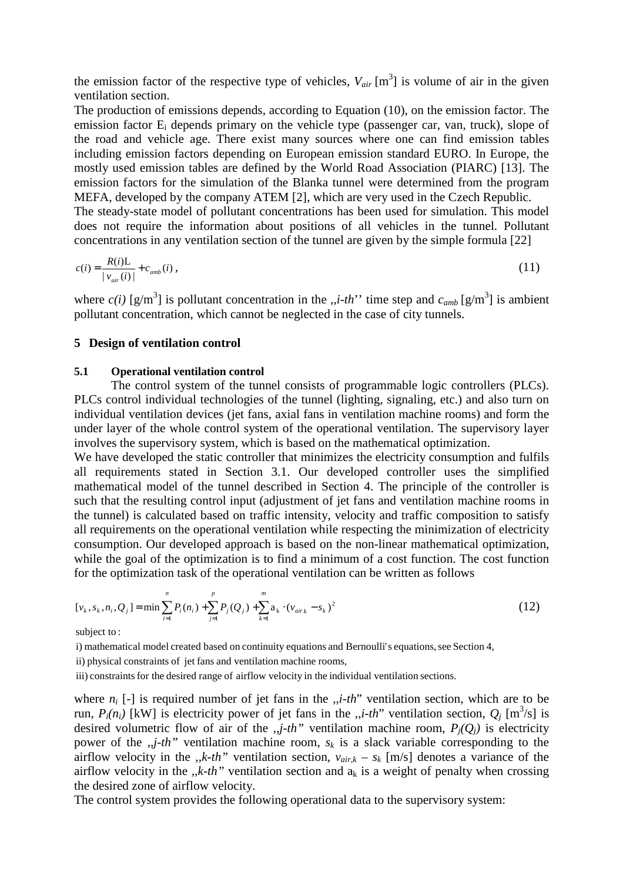the emission factor of the respective type of vehicles,  $V_{air}$  [m<sup>3</sup>] is volume of air in the given ventilation section.

The production of emissions depends, according to Equation (10), on the emission factor. The emission factor E<sub>i</sub> depends primary on the vehicle type (passenger car, van, truck), slope of the road and vehicle age. There exist many sources where one can find emission tables including emission factors depending on European emission standard EURO. In Europe, the mostly used emission tables are defined by the World Road Association (PIARC) [13]. The emission factors for the simulation of the Blanka tunnel were determined from the program MEFA, developed by the company ATEM [2], which are very used in the Czech Republic. The steady-state model of pollutant concentrations has been used for simulation. This model does not require the information about positions of all vehicles in the tunnel. Pollutant concentrations in any ventilation section of the tunnel are given by the simple formula [22]

$$
c(i) = \frac{R(i)L}{|v_{air}(i)|} + c_{amb}(i) ,
$$
\n(11)

where  $c(i)$  [g/m<sup>3</sup>] is pollutant concentration in the ,,*i-th*'' time step and  $c_{amb}$  [g/m<sup>3</sup>] is ambient pollutant concentration, which cannot be neglected in the case of city tunnels.

#### **5 Design of ventilation control**

#### **5.1 Operational ventilation control**

The control system of the tunnel consists of programmable logic controllers (PLCs). PLCs control individual technologies of the tunnel (lighting, signaling, etc.) and also turn on individual ventilation devices (jet fans, axial fans in ventilation machine rooms) and form the under layer of the whole control system of the operational ventilation. The supervisory layer involves the supervisory system, which is based on the mathematical optimization.

We have developed the static controller that minimizes the electricity consumption and fulfils all requirements stated in Section 3.1. Our developed controller uses the simplified mathematical model of the tunnel described in Section 4. The principle of the controller is such that the resulting control input (adjustment of jet fans and ventilation machine rooms in the tunnel) is calculated based on traffic intensity, velocity and traffic composition to satisfy all requirements on the operational ventilation while respecting the minimization of electricity consumption. Our developed approach is based on the non-linear mathematical optimization, while the goal of the optimization is to find a minimum of a cost function. The cost function for the optimization task of the operational ventilation can be written as follows

$$
[v_k, s_k, n_i, Q_j] = \min \sum_{i=1}^n P_i(n_i) + \sum_{j=1}^p P_j(Q_j) + \sum_{k=1}^m a_k \cdot (v_{air_k} - s_k)^2
$$
 (12)

subject to :

i) mathematical model created based on continuity equations and Bernoulli's equations, see Section 4,

ii) physical constraints of jet fans and ventilation machine rooms,

iii) constraints for the desired range of airflow velocity in the individual ventilation sections.

where *n<sup>i</sup>* [-] is required number of jet fans in the ,,*i-th*" ventilation section, which are to be run,  $P_i(n_i)$  [kW] is electricity power of jet fans in the "*i-th*" ventilation section,  $Q_j$  [m<sup>3</sup>/s] is desired volumetric flow of air of the  $, j$ -th" ventilation machine room,  $P_i(Q_i)$  is electricity power of the  $, j$ -th" ventilation machine room,  $s_k$  is a slack variable corresponding to the airflow velocity in the *,,k-th*" ventilation section,  $v_{air,k} - s_k$  [m/s] denotes a variance of the airflow velocity in the *,,k-th*" ventilation section and  $a_k$  is a weight of penalty when crossing the desired zone of airflow velocity.

The control system provides the following operational data to the supervisory system: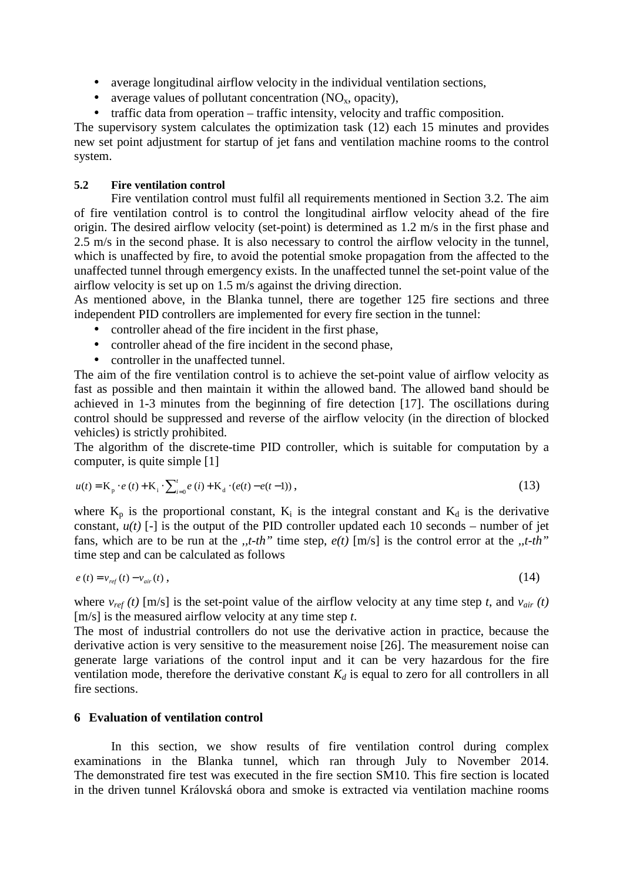- average longitudinal airflow velocity in the individual ventilation sections,
- average values of pollutant concentration  $(NO<sub>x</sub>, opacity)$ ,
- traffic data from operation traffic intensity, velocity and traffic composition.

The supervisory system calculates the optimization task (12) each 15 minutes and provides new set point adjustment for startup of jet fans and ventilation machine rooms to the control system.

### **5.2 Fire ventilation control**

Fire ventilation control must fulfil all requirements mentioned in Section 3.2. The aim of fire ventilation control is to control the longitudinal airflow velocity ahead of the fire origin. The desired airflow velocity (set-point) is determined as 1.2 m/s in the first phase and 2.5 m/s in the second phase. It is also necessary to control the airflow velocity in the tunnel, which is unaffected by fire, to avoid the potential smoke propagation from the affected to the unaffected tunnel through emergency exists. In the unaffected tunnel the set-point value of the airflow velocity is set up on 1.5 m/s against the driving direction.

As mentioned above, in the Blanka tunnel, there are together 125 fire sections and three independent PID controllers are implemented for every fire section in the tunnel:

- controller ahead of the fire incident in the first phase,
- controller ahead of the fire incident in the second phase.
- controller in the unaffected tunnel.

The aim of the fire ventilation control is to achieve the set-point value of airflow velocity as fast as possible and then maintain it within the allowed band. The allowed band should be achieved in 1-3 minutes from the beginning of fire detection [17]. The oscillations during control should be suppressed and reverse of the airflow velocity (in the direction of blocked vehicles) is strictly prohibited.

The algorithm of the discrete-time PID controller, which is suitable for computation by a computer, is quite simple [1]

$$
u(t) = K_{p} \cdot e(t) + K_{i} \cdot \sum_{i=0}^{t} e(i) + K_{d} \cdot (e(t) - e(t-1)),
$$
\n(13)

where  $K_p$  is the proportional constant,  $K_i$  is the integral constant and  $K_d$  is the derivative constant,  $u(t)$  [-] is the output of the PID controller updated each 10 seconds – number of jet fans, which are to be run at the *,,t-th"* time step, *e(t)* [m/s] is the control error at the *,,t-th"* time step and can be calculated as follows

$$
e(t) = v_{ref}(t) - v_{air}(t) , \qquad (14)
$$

where  $v_{ref}(t)$  [m/s] is the set-point value of the airflow velocity at any time step *t*, and  $v_{air}(t)$ [m/s] is the measured airflow velocity at any time step *t*.

The most of industrial controllers do not use the derivative action in practice, because the derivative action is very sensitive to the measurement noise [26]. The measurement noise can generate large variations of the control input and it can be very hazardous for the fire ventilation mode, therefore the derivative constant  $K_d$  is equal to zero for all controllers in all fire sections.

### **6 Evaluation of ventilation control**

In this section, we show results of fire ventilation control during complex examinations in the Blanka tunnel, which ran through July to November 2014. The demonstrated fire test was executed in the fire section SM10. This fire section is located in the driven tunnel Královská obora and smoke is extracted via ventilation machine rooms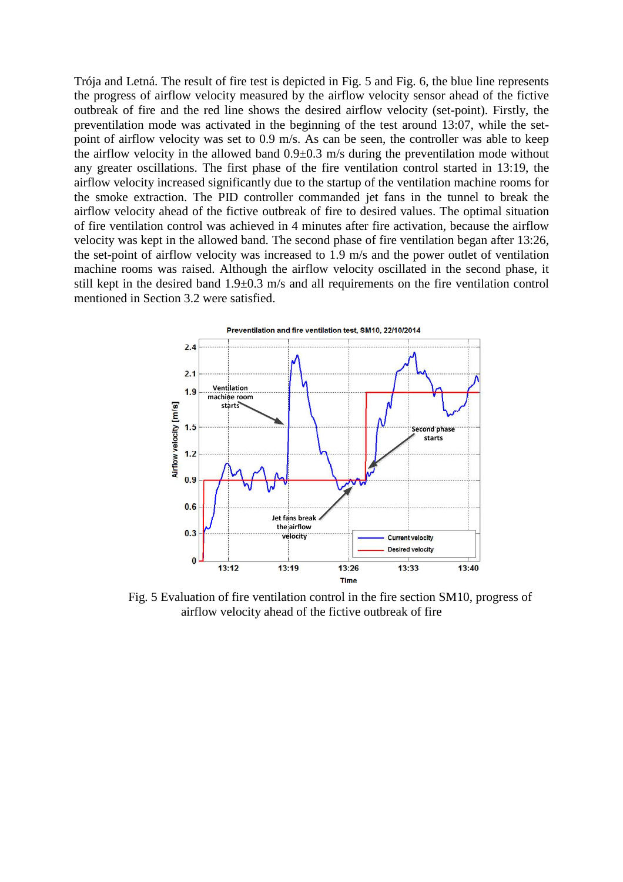Trója and Letná. The result of fire test is depicted in Fig. 5 and Fig. 6, the blue line represents the progress of airflow velocity measured by the airflow velocity sensor ahead of the fictive outbreak of fire and the red line shows the desired airflow velocity (set-point). Firstly, the preventilation mode was activated in the beginning of the test around 13:07, while the setpoint of airflow velocity was set to 0.9 m/s. As can be seen, the controller was able to keep the airflow velocity in the allowed band 0.9±0.3 m/s during the preventilation mode without any greater oscillations. The first phase of the fire ventilation control started in 13:19, the airflow velocity increased significantly due to the startup of the ventilation machine rooms for the smoke extraction. The PID controller commanded jet fans in the tunnel to break the airflow velocity ahead of the fictive outbreak of fire to desired values. The optimal situation of fire ventilation control was achieved in 4 minutes after fire activation, because the airflow velocity was kept in the allowed band. The second phase of fire ventilation began after 13:26, the set-point of airflow velocity was increased to 1.9 m/s and the power outlet of ventilation machine rooms was raised. Although the airflow velocity oscillated in the second phase, it still kept in the desired band 1.9±0.3 m/s and all requirements on the fire ventilation control mentioned in Section 3.2 were satisfied.



Fig. 5 Evaluation of fire ventilation control in the fire section SM10, progress of airflow velocity ahead of the fictive outbreak of fire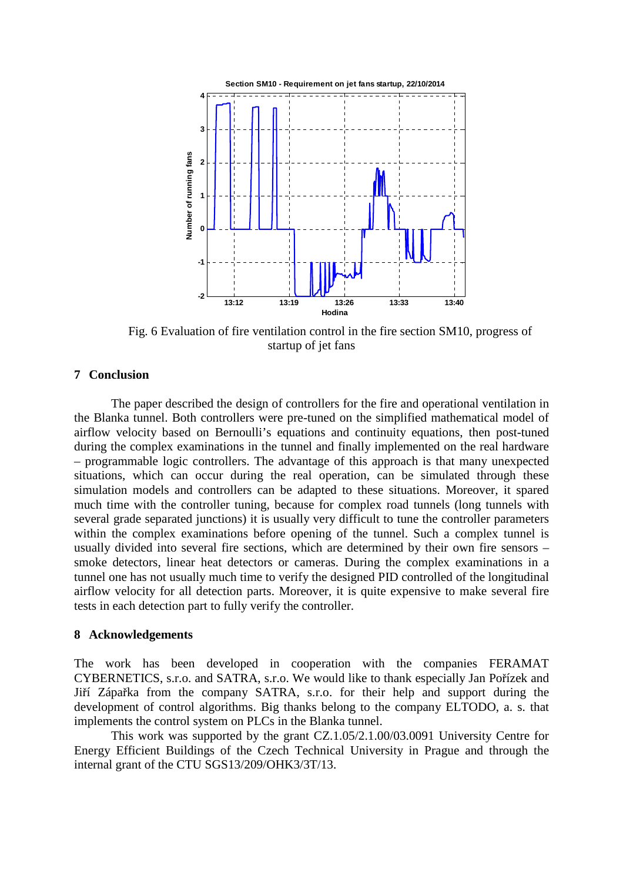

Fig. 6 Evaluation of fire ventilation control in the fire section SM10, progress of startup of jet fans

### **7 Conclusion**

The paper described the design of controllers for the fire and operational ventilation in the Blanka tunnel. Both controllers were pre-tuned on the simplified mathematical model of airflow velocity based on Bernoulli's equations and continuity equations, then post-tuned during the complex examinations in the tunnel and finally implemented on the real hardware – programmable logic controllers. The advantage of this approach is that many unexpected situations, which can occur during the real operation, can be simulated through these simulation models and controllers can be adapted to these situations. Moreover, it spared much time with the controller tuning, because for complex road tunnels (long tunnels with several grade separated junctions) it is usually very difficult to tune the controller parameters within the complex examinations before opening of the tunnel. Such a complex tunnel is usually divided into several fire sections, which are determined by their own fire sensors – smoke detectors, linear heat detectors or cameras. During the complex examinations in a tunnel one has not usually much time to verify the designed PID controlled of the longitudinal airflow velocity for all detection parts. Moreover, it is quite expensive to make several fire tests in each detection part to fully verify the controller.

#### **8 Acknowledgements**

The work has been developed in cooperation with the companies FERAMAT CYBERNETICS, s.r.o. and SATRA, s.r.o. We would like to thank especially Jan Pořízek and Jiří Zápařka from the company SATRA, s.r.o. for their help and support during the development of control algorithms. Big thanks belong to the company ELTODO, a. s. that implements the control system on PLCs in the Blanka tunnel.

This work was supported by the grant CZ.1.05/2.1.00/03.0091 University Centre for Energy Efficient Buildings of the Czech Technical University in Prague and through the internal grant of the CTU SGS13/209/OHK3/3T/13.